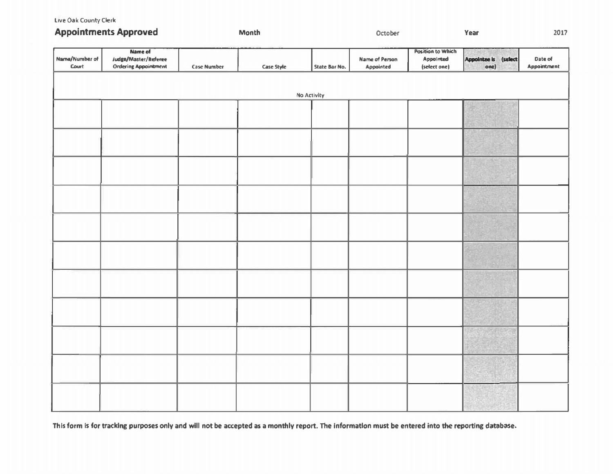Live Oak County Clerk

| <b>Appointments Approved</b>   |                                                                |                    | Month      |                    | October                     |                                                       | Year                          | 2017                   |
|--------------------------------|----------------------------------------------------------------|--------------------|------------|--------------------|-----------------------------|-------------------------------------------------------|-------------------------------|------------------------|
| Name/Number of<br><b>Court</b> | Name of<br>Judge/Master/Referee<br><b>Ordering Appointment</b> | <b>Case Number</b> | Case Style | State Bar No.      | Name of Person<br>Appointed | <b>Position to Which</b><br>Appointed<br>(select one) | Appointee is (select)<br>one) | Date of<br>Appointment |
|                                |                                                                |                    |            | <b>No Activity</b> |                             |                                                       |                               |                        |
|                                |                                                                |                    |            |                    |                             |                                                       |                               |                        |
|                                |                                                                |                    |            |                    |                             |                                                       |                               |                        |
|                                |                                                                |                    |            |                    |                             |                                                       |                               |                        |
|                                |                                                                |                    |            |                    |                             |                                                       |                               |                        |
|                                |                                                                |                    |            |                    |                             |                                                       |                               |                        |
|                                |                                                                |                    |            |                    |                             |                                                       |                               |                        |
|                                |                                                                |                    |            |                    |                             |                                                       |                               |                        |
|                                |                                                                |                    |            |                    |                             |                                                       |                               |                        |
|                                |                                                                |                    |            |                    |                             |                                                       |                               |                        |
|                                |                                                                |                    |            |                    |                             |                                                       |                               |                        |
|                                |                                                                |                    |            |                    |                             |                                                       |                               |                        |
|                                |                                                                |                    |            |                    |                             |                                                       |                               |                        |

This form is for tracking purposes only and will not be accepted as a monthly report. The information must be entered into the reporting database.